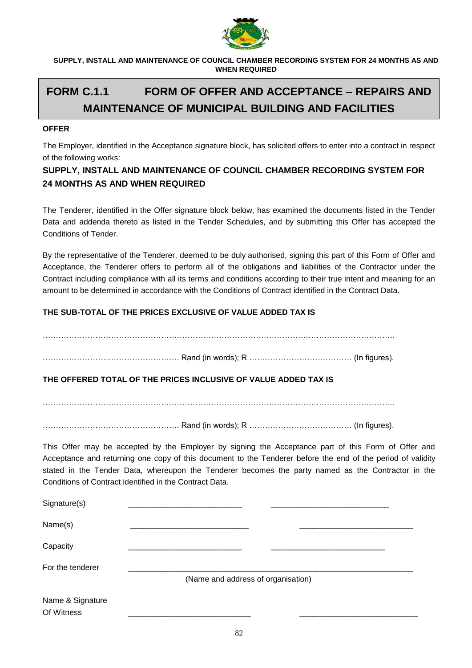

**SUPPLY, INSTALL AND MAINTENANCE OF COUNCIL CHAMBER RECORDING SYSTEM FOR 24 MONTHS AS AND WHEN REQUIRED**

# **FORM C.1.1 FORM OF OFFER AND ACCEPTANCE – REPAIRS AND MAINTENANCE OF MUNICIPAL BUILDING AND FACILITIES**

#### **OFFER**

The Employer, identified in the Acceptance signature block, has solicited offers to enter into a contract in respect of the following works:

### **SUPPLY, INSTALL AND MAINTENANCE OF COUNCIL CHAMBER RECORDING SYSTEM FOR 24 MONTHS AS AND WHEN REQUIRED**

The Tenderer, identified in the Offer signature block below, has examined the documents listed in the Tender Data and addenda thereto as listed in the Tender Schedules, and by submitting this Offer has accepted the Conditions of Tender.

By the representative of the Tenderer, deemed to be duly authorised, signing this part of this Form of Offer and Acceptance, the Tenderer offers to perform all of the obligations and liabilities of the Contractor under the Contract including compliance with all its terms and conditions according to their true intent and meaning for an amount to be determined in accordance with the Conditions of Contract identified in the Contract Data.

#### **THE SUB-TOTAL OF THE PRICES EXCLUSIVE OF VALUE ADDED TAX IS**

| THE OFFERED TOTAL OF THE PRICES INCLUSIVE OF VALUE ADDED TAX IS |  |
|-----------------------------------------------------------------|--|

……………………………………………………………………………………………………………………..

……………………………………………. Rand (in words); R ………………………………… (In figures).

This Offer may be accepted by the Employer by signing the Acceptance part of this Form of Offer and Acceptance and returning one copy of this document to the Tenderer before the end of the period of validity stated in the Tender Data, whereupon the Tenderer becomes the party named as the Contractor in the Conditions of Contract identified in the Contract Data.

| Signature(s)                   |                                    |  |
|--------------------------------|------------------------------------|--|
| Name(s)                        |                                    |  |
| Capacity                       |                                    |  |
| For the tenderer               | (Name and address of organisation) |  |
| Name & Signature<br>Of Witness |                                    |  |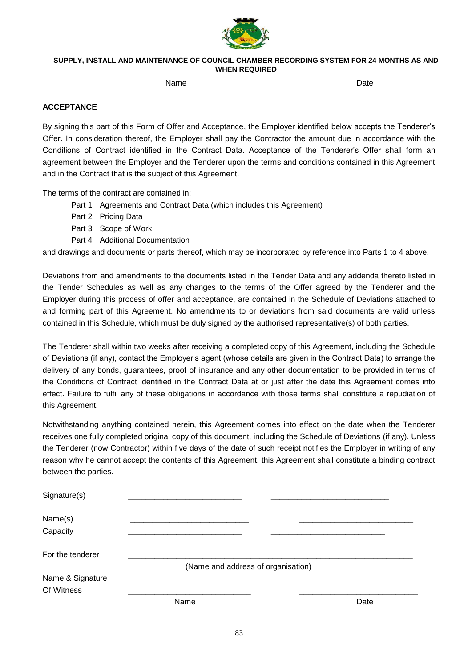

#### **SUPPLY, INSTALL AND MAINTENANCE OF COUNCIL CHAMBER RECORDING SYSTEM FOR 24 MONTHS AS AND WHEN REQUIRED**

name and the Date of the Date of the Date of the Date of the Date of the Date of the Date of the Date of the D

#### **ACCEPTANCE**

By signing this part of this Form of Offer and Acceptance, the Employer identified below accepts the Tenderer's Offer. In consideration thereof, the Employer shall pay the Contractor the amount due in accordance with the Conditions of Contract identified in the Contract Data. Acceptance of the Tenderer's Offer shall form an agreement between the Employer and the Tenderer upon the terms and conditions contained in this Agreement and in the Contract that is the subject of this Agreement.

The terms of the contract are contained in:

- Part 1 Agreements and Contract Data (which includes this Agreement)
- Part 2 Pricing Data
- Part 3 Scope of Work
- Part 4 Additional Documentation

and drawings and documents or parts thereof, which may be incorporated by reference into Parts 1 to 4 above.

Deviations from and amendments to the documents listed in the Tender Data and any addenda thereto listed in the Tender Schedules as well as any changes to the terms of the Offer agreed by the Tenderer and the Employer during this process of offer and acceptance, are contained in the Schedule of Deviations attached to and forming part of this Agreement. No amendments to or deviations from said documents are valid unless contained in this Schedule, which must be duly signed by the authorised representative(s) of both parties.

The Tenderer shall within two weeks after receiving a completed copy of this Agreement, including the Schedule of Deviations (if any), contact the Employer's agent (whose details are given in the Contract Data) to arrange the delivery of any bonds, guarantees, proof of insurance and any other documentation to be provided in terms of the Conditions of Contract identified in the Contract Data at or just after the date this Agreement comes into effect. Failure to fulfil any of these obligations in accordance with those terms shall constitute a repudiation of this Agreement.

Notwithstanding anything contained herein, this Agreement comes into effect on the date when the Tenderer receives one fully completed original copy of this document, including the Schedule of Deviations (if any). Unless the Tenderer (now Contractor) within five days of the date of such receipt notifies the Employer in writing of any reason why he cannot accept the contents of this Agreement, this Agreement shall constitute a binding contract between the parties.

| Signature(s)                   |                                    |      |
|--------------------------------|------------------------------------|------|
| Name(s)                        |                                    |      |
| Capacity                       |                                    |      |
| For the tenderer               |                                    |      |
|                                | (Name and address of organisation) |      |
| Name & Signature<br>Of Witness |                                    |      |
|                                | Name                               | Date |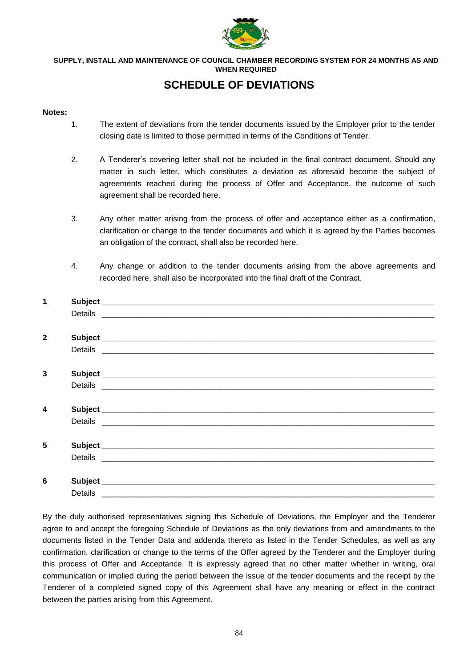

#### **SUPPLY, INSTALL AND MAINTENANCE OF COUNCIL CHAMBER RECORDING SYSTEM FOR 24 MONTHS AS AND WHEN REQUIRED**

## **SCHEDULE OF DEVIATIONS**

#### **Notes:**

- 1. The extent of deviations from the tender documents issued by the Employer prior to the tender closing date is limited to those permitted in terms of the Conditions of Tender.
- 2. A Tenderer's covering letter shall not be included in the final contract document. Should any matter in such letter, which constitutes a deviation as aforesaid become the subject of agreements reached during the process of Offer and Acceptance, the outcome of such agreement shall be recorded here.
- 3. Any other matter arising from the process of offer and acceptance either as a confirmation, clarification or change to the tender documents and which it is agreed by the Parties becomes an obligation of the contract, shall also be recorded here.
- 4. Any change or addition to the tender documents arising from the above agreements and recorded here, shall also be incorporated into the final draft of the Contract.

| $\mathbf 1$  |         |                                                                                                                                                                                                                                |
|--------------|---------|--------------------------------------------------------------------------------------------------------------------------------------------------------------------------------------------------------------------------------|
|              |         |                                                                                                                                                                                                                                |
|              |         |                                                                                                                                                                                                                                |
| $\mathbf{2}$ |         |                                                                                                                                                                                                                                |
|              |         |                                                                                                                                                                                                                                |
|              |         |                                                                                                                                                                                                                                |
| 3            |         |                                                                                                                                                                                                                                |
|              |         | Details experience and the contract of the contract of the contract of the contract of the contract of the contract of the contract of the contract of the contract of the contract of the contract of the contract of the con |
|              |         |                                                                                                                                                                                                                                |
| 4            |         |                                                                                                                                                                                                                                |
|              |         |                                                                                                                                                                                                                                |
|              |         |                                                                                                                                                                                                                                |
| 5            |         |                                                                                                                                                                                                                                |
|              |         |                                                                                                                                                                                                                                |
|              |         |                                                                                                                                                                                                                                |
| 6            |         |                                                                                                                                                                                                                                |
|              | Details |                                                                                                                                                                                                                                |

By the duly authorised representatives signing this Schedule of Deviations, the Employer and the Tenderer agree to and accept the foregoing Schedule of Deviations as the only deviations from and amendments to the documents listed in the Tender Data and addenda thereto as listed in the Tender Schedules, as well as any confirmation, clarification or change to the terms of the Offer agreed by the Tenderer and the Employer during this process of Offer and Acceptance. It is expressly agreed that no other matter whether in writing, oral communication or implied during the period between the issue of the tender documents and the receipt by the Tenderer of a completed signed copy of this Agreement shall have any meaning or effect in the contract between the parties arising from this Agreement.